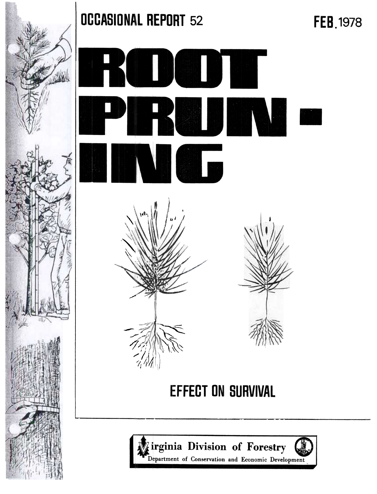

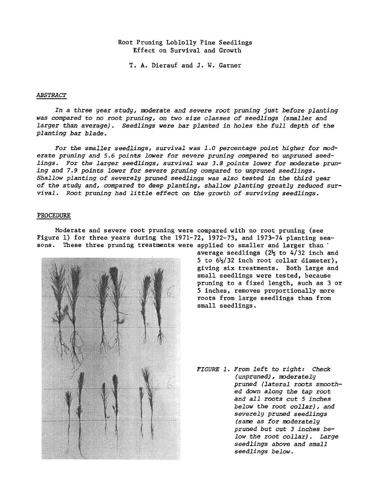# Root Pruning Loblolly Pine Seedlings Effect on Survival and Growth

I. A. Dierauf and J. W. Garner

### ABSTRACT

In a three year study, moderate and severe root pruning just before planting was compared to no root pruning, on two size classes of seedlings (smaller and larger than average). Seedlings were bar planted in holes the full depth of the planting bar blade.

For the smaller seedlings, survival was 1.0 percentage point higher for moderate pruning and 5.6 points lower for severe pruning compared to unpruned seedlings. For the larger seedlings, survival was 3.8 points lower for moderate pruning and 7.9 points lower for severe pruning compared to unpruned seedlings. Shallow planting of severely pruned seedlings was also tested in the third year of the study and, compared to deep planting, shallow planting greatly reduced survival. Root pruning had litrle effect on the growth of surviving seedlings.

### PROCEDURE

Moderate and severe root pruning were compared with no root pruning (see Figure I) for three years during the 1971-72, 1972-73, and 1973-74 planting seasons. These three pruning treatments were applied to smaller and larger than



average seedlings  $(2\frac{1}{2})$  to 4/32 inch and 5 to  $6\frac{1}{2}$  1 inch root collar diameter). giving six treatments. Both large and small seedlings were tested, because pruning to a fixed length, such as 3 or 5 inches, removes proportionally more roots from large seedlings than from small seedlings.

FIGURE 1. From left to right: Check (unpruned), moderately pruned (lateral roots smoothed down along the tap root and all roots cut 5 inches below the root collar), and severely pruned seedlings (same as for moderately pruned but cut 3 inches below the root collar). Large seedlings above and small seedlings below.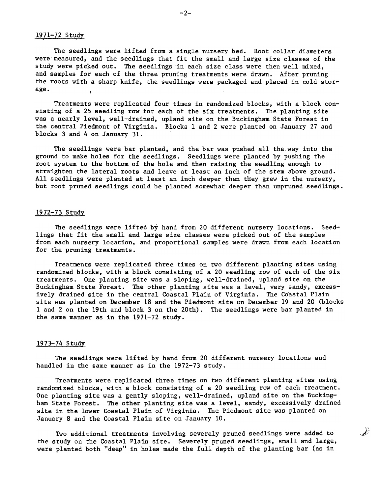## 1971-72 Study

The seedlings were lifted from a single nursery bed. Root collar diameters were measured, and the seedlings that fit the small and large size classes of the study were picked out. The seedlings in each size class were then well mixed, and samples for each of the three pruning treatments were drawn. After pruning the roots with a sharp knife, the seedlings were packaged and placed in cold storage.

Treatments were replicated four times in randomized blocks, with a block consisting of a 25 seedling row for each of the six treatments. The planting site was a nearly level, well-drained, upland site on the Buckingham State Forest in the central Piedmont of Virginia. Blocks 1 and 2 were planted on January 27 and blocks 3 and 4 on January 31.

The seedlings were bar planted, and the bar was pushed all the way into the ground to make holes for the seedlings. Seedlings were planted by pushing the root system to the bottom of the hole and then raising the seedling enough to straighten the lateral roots and leave at least an inch of the stem above ground. All seedlings were planted at least an inch deeper than they grew in the nursery, but root pruned seedlings could be planted somewhat deeper than unpruned seedlings.

### 1972-73 Study

The seedlings were lifted by hand from 20 different nursery locations. Seedlings that fit the small and large size classes were picked out of the samples from each nursery location, and proportional samples were drawn from each location for the pruning treatments.

Treatments were replicated three times on two different planting sites using randomized blocks. with a block consisting of a 20 seedling row of each of the six treatments. One planting site was a sloping. well-drained. upland site on the Buckingham State Forest. The other planting site was a level, very sandy, excessively drained site in the central Coastal Plain of Virginia. The Coastal Plain site was planted on December 18 and the Piedmont site on December 19 and 20 (blocks 1 and 2 on the 19th and block 3 on the 20th). The seedlings were bar planted in the same manner as in the 1971-72 study.

# 1973-74 Study

The seedlings were lifted by hand from 20 different nursery locations and handled in the same manner as in the 1972-73 study.

Treatments were replicated three times on two different planting sites using randomized blocks, with a block consisting of a 20 seedling row of each treatment. one planting site was a gently sloping, well-drained, upland site on the Buckingham State Forest. The other planting site was a level, sandy, excessively drained site in the lower Coastal Plain of Virginia. The Piedmont site was planted on January 8 and the Coastal Plain site on January 10.

Two additional treatments involving severely pruned seedlings were added to  $\Box$ the study on the Coastal Plain site. Severely pruned seedlings, small and large, were planted both "deep" in holes made the full depth of the planting bar (as in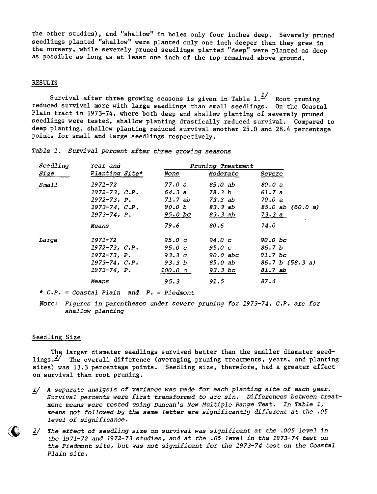the other studies), and "shallow" in holes only four inches deep. Severely pruned seedlings planted "shallow" were planted only one inch deeper than they grew in the nursery, while severely pruned seedlings planted "deep" were planted as deep as possible as long as at least one inch of the top remained above ground.

## RESULTS

Survival after three growing seasons is given in Table  $1.4$  Root pruning reduced survival more with large seedlings than small seedlings. On the Coastal Plain tract in 1973-74, where both deep and shallow planting of severely pruned seedlings were tested, shallow planting drastically reduced survival. Compared to deep planting, shallow planting reduced survival another 25.0 and 28.4 percentage points for small and large seedlings respectively.

|  | Table 1. Survival percent after three growing seasons |  |  |  |  |  |
|--|-------------------------------------------------------|--|--|--|--|--|
|--|-------------------------------------------------------|--|--|--|--|--|

| Seedling | Year and             | Pruning Treatment |            |                  |
|----------|----------------------|-------------------|------------|------------------|
| Size     | Planting Site*       | None              | Moderate   | Severe           |
| Small    | 1971-72              | 77.0 a            | 85.0 ab    | <i>80.0 a</i>    |
|          | $1972 - 73$ , $C.P.$ | 64.3 a            | 78.3 b     | 61.7a            |
|          | $1972 - 73$ , P.     | 71.7 ab           | 73.3ab     | 70.0 a           |
|          | $1973 - 74, C.P.$    | 90.0 b            | 83.3 ab    | 85.0 ab (60.0 a) |
|          | $1973 - 74, P.$      | $95.0$ bc         | 83.3 ab    | 73.3 a           |
|          | Means                | 79.6              | 80.6       | 74.0             |
| Large    | 1971-72              | 95.0 <sub>c</sub> | 94.0c      | 90.0 bc          |
|          | $1972 - 73, C.P.$    | 95.0 <sub>c</sub> | $95.0\,c$  | 86.7b            |
|          | $1972 - 73$ , $P$ .  | 93.3c             | $90.0$ abc | $91.7$ bc        |
|          | $1973 - 74, C.P.$    | 93.3 b            | 85.0 ab    | 86.7 b (58.3 a)  |
|          | $1973 - 74$ , $P$ .  | 100.0c            | $93.3$ bc  | 81.7 ab          |
|          | Means                | 95.3              | 91.5       | 87.4             |

\*  $C.P. = Costal Plain and P. = Piedmor$ 

Note: Figures in parentheses under severe pruning for 1973-74, C.P. are fo shallow planting

#### Seedling Size

 $\zeta$ 

The larger diameter seedlings survived better than the smaller diameter seedlings. $2'$  The overall difference (averaging pruning treatments, years, and planting sites) was 13.3 percentage points. Seedling size, therefore, had a greater effect on survival than root pruning.

- 1/ A separate analysis of variance was made for each planting site of each year. Survival percents were first transformed to arc sin. Differences between treatment means were tested using Duncan's New Multiple Range Test. In Table 1, means not followed by the same letter are significantly different at the .05 level of significance.
- The effect of seedling size on survival was significant at the .005 level in the 1971-72 and 1972-73 studies, and at the .05 level in the 1973-74 test on the Piedmont site, but was not significant for the 1973-74 test on the Coastal Plain site.  $2/$